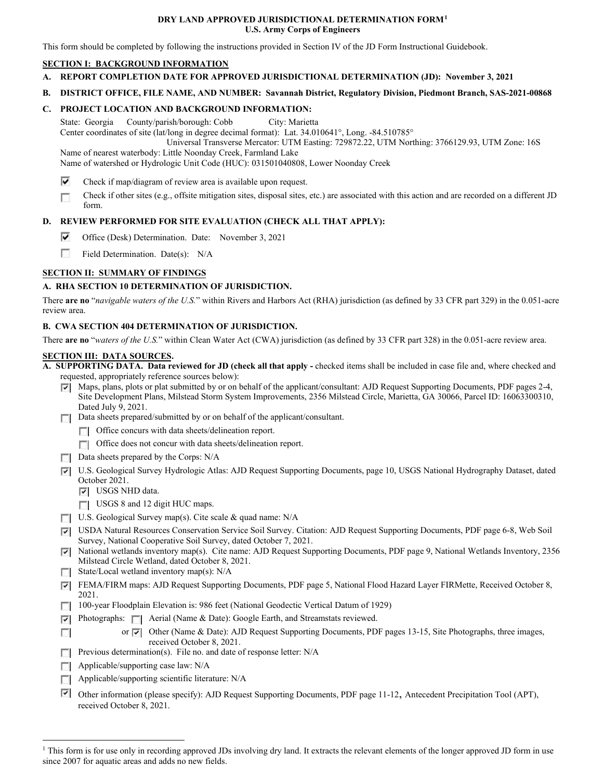### **DRY LAND APPROVED JURISDICTIONAL DETERMINATION FORM1 U.S. Army Corps of Engineers**

This form should be completed by following the instructions provided in Section IV of the JD Form Instructional Guidebook.

## **SECTION I: BACKGROUND INFORMATION**

- **A. REPORT COMPLETION DATE FOR APPROVED JURISDICTIONAL DETERMINATION (JD): November 3, 2021**
- **B. DISTRICT OFFICE, FILE NAME, AND NUMBER: Savannah District, Regulatory Division, Piedmont Branch, SAS-2021-00868**

## **C. PROJECT LOCATION AND BACKGROUND INFORMATION:**

State: Georgia County/parish/borough: Cobb City: Marietta

Center coordinates of site (lat/long in degree decimal format): Lat. 34.010641°, Long. -84.510785°

Universal Transverse Mercator: UTM Easting: [729872.22](https://729872.22), UTM Northing: [3766129.93](https://3766129.93), UTM Zone: 16S

Name of nearest waterbody: Little Noonday Creek, Farmland Lake

Name of watershed or Hydrologic Unit Code (HUC): 031501040808, Lower Noonday Creek

- $\overline{\mathbf{v}}$ Check if map/diagram of review area is available upon request.
- r Check if other sites (e.g., offsite mitigation sites, disposal sites, etc.) are associated with this action and are recorded on a different JD form.

# **D. REVIEW PERFORMED FOR SITE EVALUATION (CHECK ALL THAT APPLY):**

- $\overline{\blacktriangledown}$ Office (Desk) Determination. Date: November 3, 2021
- r Field Determination. Date(s): N/A

# **SECTION II: SUMMARY OF FINDINGS**

# **A. RHA SECTION 10 DETERMINATION OF JURISDICTION.**

There **are no** "*navigable waters of the U.S.*" within Rivers and Harbors Act (RHA) jurisdiction (as defined by 33 CFR part 329) in the 0.051-acre review area.

## **B. CWA SECTION 404 DETERMINATION OF JURISDICTION.**

There **are no** "*waters of the U.S.*" within Clean Water Act (CWA) jurisdiction (as defined by 33 CFR part 328) in the 0.051-acre review area.

### **SECTION III: DATA SOURCES.**

**A. SUPPORTING DATA. Data reviewed for JD (check all that apply -** checked items shall be included in case file and, where checked and requested, appropriately reference sources below):

- Pl Maps, plans, plots or plat submitted by or on behalf of the applicant/consultant: AJD Request Supporting Documents, PDF pages 2-4, Site Development Plans, Milstead Storm System Improvements, 2356 Milstead Circle, Marietta, GA 30066, Parcel ID: 16063300310, Dated July 9, 2021.
- 1 Data sheets prepared/submitted by or on behalf of the applicant/consultant.
	- **T** 1 Office concurs with data sheets/delineation report.
	- **T** Office does not concur with data sheets/delineation report.
- $\Box$  Data sheets prepared by the Corps: N/A
- Pl U.S. Geological Survey Hydrologic Atlas: AJD Request Supporting Documents, page 10, USGS National Hydrography Dataset, dated October 2021.
	- **P** USGS NHD data.
	- USGS 8 and 12 digit HUC maps.
- U.S. Geological Survey map(s). Cite scale & quad name: N/A
- Pl USDA Natural Resources Conservation Service Soil Survey. Citation: AJD Request Supporting Documents, PDF page 6-8, Web Soil Survey, National Cooperative Soil Survey, dated October 7, 2021.
- Pl National wetlands inventory map(s). Cite name: AJD Request Supporting Documents, PDF page 9, National Wetlands Inventory, 2356 Milstead Circle Wetland, dated October 8, 2021.
- $\Box$  State/Local wetland inventory map(s): N/A
- Pl FEMA/FIRM maps: AJD Request Supporting Documents, PDF page 5, National Flood Hazard Layer FIRMette, Received October 8, 2021.
- 100-year Floodplain Elevation is: 986 feet (National Geodectic Vertical Datum of 1929)
- **Photographs: Aerial (Name & Date): Google Earth, and Streamstats reviewed.** 
	- or  $\nabla$  Other (Name & Date): AJD Request Supporting Documents, PDF pages 13-15, Site Photographs, three images, received October 8, 2021.
- **Previous determination(s).** File no. and date of response letter: N/A
- $\Box$  Applicable/supporting case law: N/A

ri

- $\Box$  Applicable/supporting scientific literature: N/A
- Pl Other information (please specify): AJD Request Supporting Documents, PDF page 11-12, Antecedent Precipitation Tool (APT), received October 8, 2021.

<sup>&</sup>lt;sup>1</sup> This form is for use only in recording approved JDs involving dry land. It extracts the relevant elements of the longer approved JD form in use since 2007 for aquatic areas and adds no new fields.